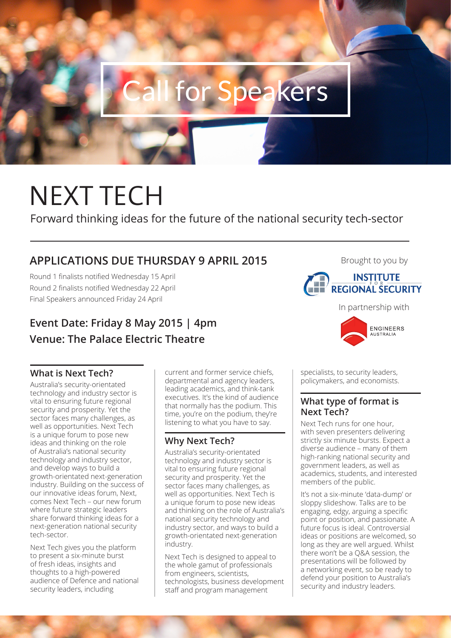

# NEXT TECH

Forward thinking ideas for the future of the national security tech-sector

# **APPLICATIONS DUE THURSDAY 9 APRIL 2015**

Round 1 finalists notified Wednesday 15 April Round 2 finalists notified Wednesday 22 April Final Speakers announced Friday 24 April

# **Event Date: Friday 8 May 2015 | 4pm Venue: The Palace Electric Theatre**

# **What is Next Tech?**

Australia's security-orientated technology and industry sector is vital to ensuring future regional security and prosperity. Yet the sector faces many challenges, as well as opportunities. Next Tech is a unique forum to pose new ideas and thinking on the role of Australia's national security technology and industry sector, and develop ways to build a growth-orientated next-generation industry. Building on the success of our innovative ideas forum, Next, comes Next Tech – our new forum where future strategic leaders share forward thinking ideas for a next-generation national security tech-sector.

Next Tech gives you the platform to present a six-minute burst of fresh ideas, insights and thoughts to a high-powered audience of Defence and national security leaders, including

current and former service chiefs, departmental and agency leaders, leading academics, and think-tank executives. It's the kind of audience that normally has the podium. This time, you're on the podium, they're listening to what you have to say.

# **Why Next Tech?**

Australia's security-orientated technology and industry sector is vital to ensuring future regional security and prosperity. Yet the sector faces many challenges, as well as opportunities. Next Tech is a unique forum to pose new ideas and thinking on the role of Australia's national security technology and industry sector, and ways to build a growth-orientated next-generation industry.

Next Tech is designed to appeal to the whole gamut of professionals from engineers, scientists, technologists, business development staff and program management



In partnership with

Brought to you by



specialists, to security leaders, policymakers, and economists.

# **What type of format is Next Tech?**

Next Tech runs for one hour, with seven presenters delivering strictly six minute bursts. Expect a diverse audience – many of them high-ranking national security and government leaders, as well as academics, students, and interested members of the public.

It's not a six-minute 'data-dump' or sloppy slideshow. Talks are to be engaging, edgy, arguing a specific point or position, and passionate. A future focus is ideal. Controversial ideas or positions are welcomed, so long as they are well argued. Whilst there won't be a Q&A session, the presentations will be followed by a networking event, so be ready to defend your position to Australia's security and industry leaders.